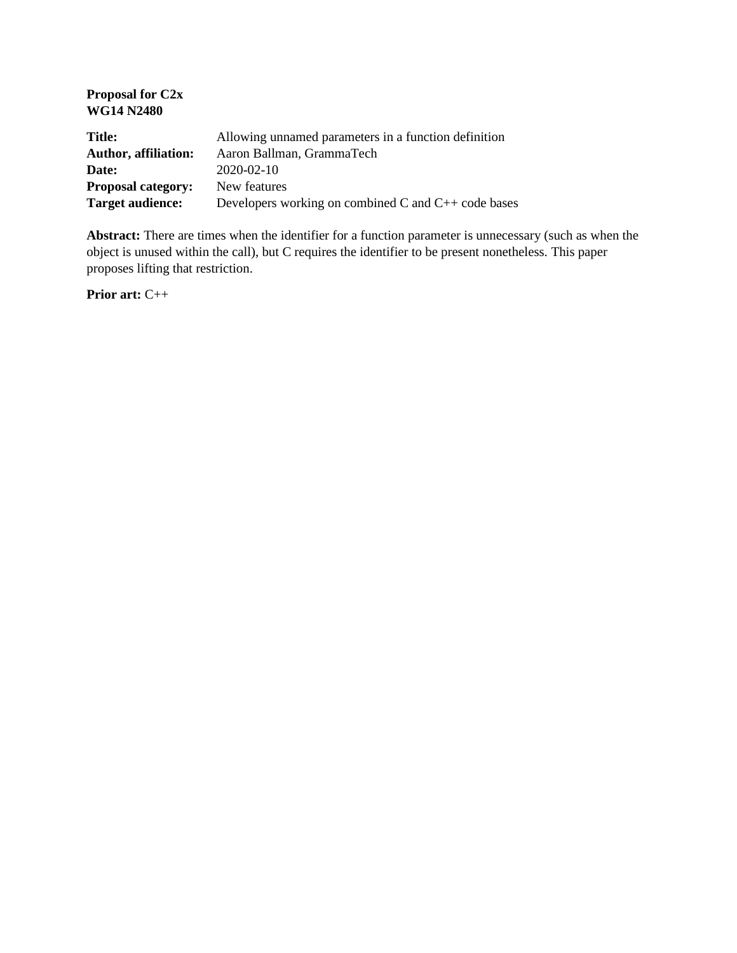| Allowing unnamed parameters in a function definition     |
|----------------------------------------------------------|
|                                                          |
| Developers working on combined C and $C_{++}$ code bases |
|                                                          |

**Abstract:** There are times when the identifier for a function parameter is unnecessary (such as when the object is unused within the call), but C requires the identifier to be present nonetheless. This paper proposes lifting that restriction.

**Prior art:** C++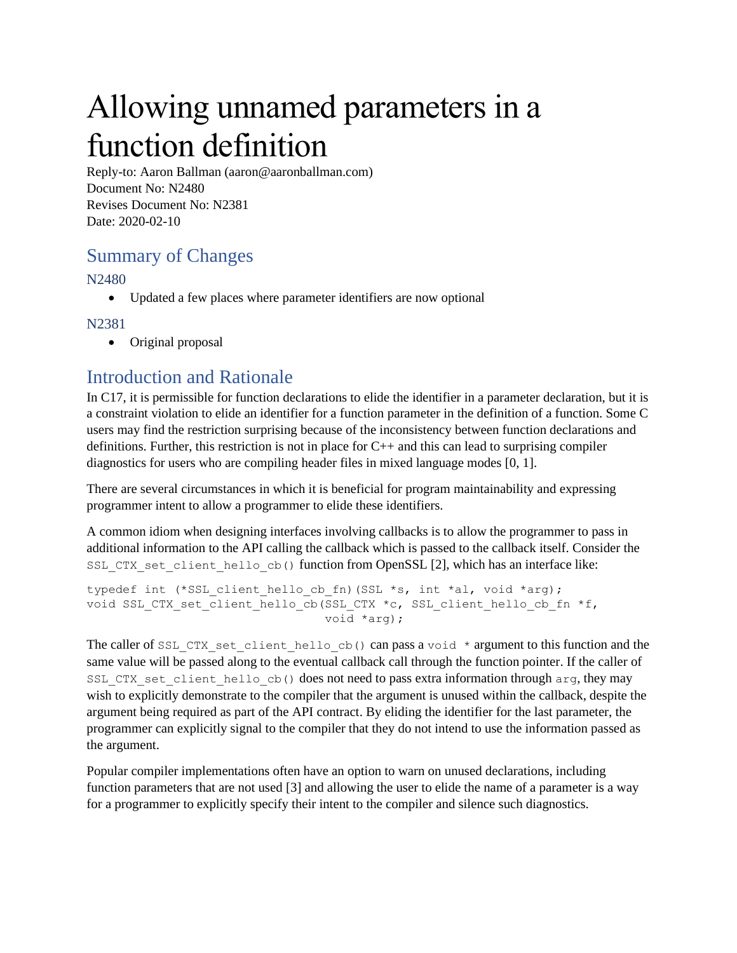# Allowing unnamed parameters in a function definition

Reply-to: Aaron Ballman (aaron@aaronballman.com) Document No: N2480 Revises Document No: N2381 Date: 2020-02-10

# Summary of Changes

N2480

• Updated a few places where parameter identifiers are now optional

#### N2381

• Original proposal

# Introduction and Rationale

In C17, it is permissible for function declarations to elide the identifier in a parameter declaration, but it is a constraint violation to elide an identifier for a function parameter in the definition of a function. Some C users may find the restriction surprising because of the inconsistency between function declarations and definitions. Further, this restriction is not in place for  $C_{++}$  and this can lead to surprising compiler diagnostics for users who are compiling header files in mixed language modes [0, 1].

There are several circumstances in which it is beneficial for program maintainability and expressing programmer intent to allow a programmer to elide these identifiers.

A common idiom when designing interfaces involving callbacks is to allow the programmer to pass in additional information to the API calling the callback which is passed to the callback itself. Consider the SSL CTX set client hello cb() function from OpenSSL [2], which has an interface like:

```
typedef int (*SSL client hello cb fn)(SSL *s, int *al, void *arg);
void SSL_CTX_set_client_hello_cb(SSL_CTX *c, SSL_client_hello_cb_fn *f,
                                  void *arg);
```
The caller of SSL\_CTX\_set\_client\_hello\_cb() can pass a void \* argument to this function and the same value will be passed along to the eventual callback call through the function pointer. If the caller of SSL CTX set client hello cb() does not need to pass extra information through arg, they may wish to explicitly demonstrate to the compiler that the argument is unused within the callback, despite the argument being required as part of the API contract. By eliding the identifier for the last parameter, the programmer can explicitly signal to the compiler that they do not intend to use the information passed as the argument.

Popular compiler implementations often have an option to warn on unused declarations, including function parameters that are not used [3] and allowing the user to elide the name of a parameter is a way for a programmer to explicitly specify their intent to the compiler and silence such diagnostics.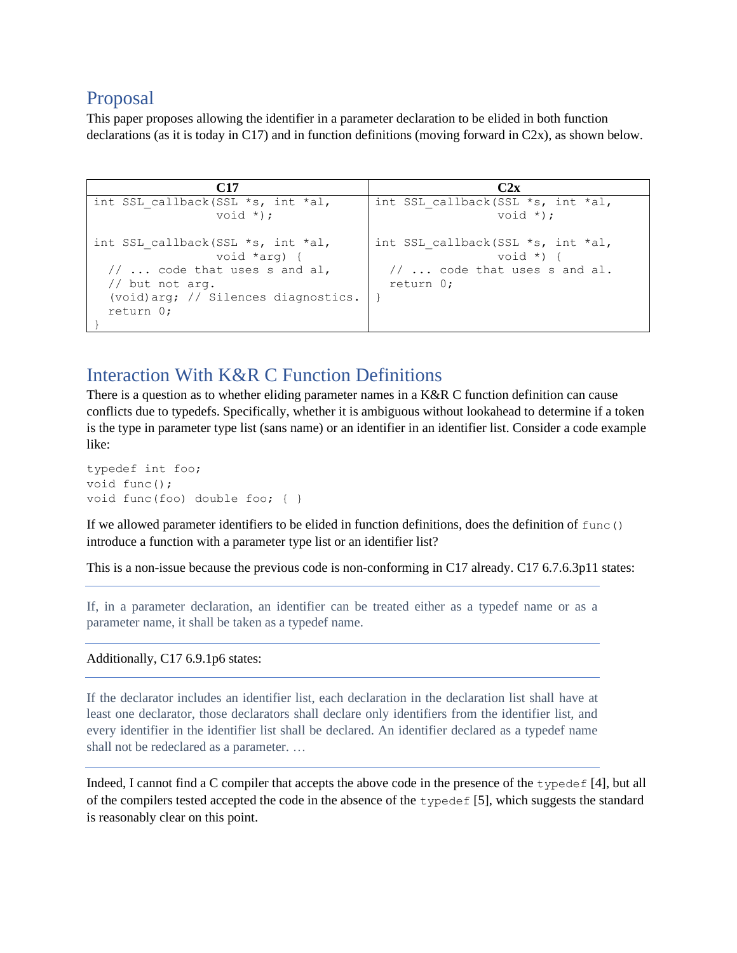### Proposal

This paper proposes allowing the identifier in a parameter declaration to be elided in both function declarations (as it is today in C17) and in function definitions (moving forward in C2x), as shown below.

| C17                                                                                                                                                                       | C2x                                                                                                  |
|---------------------------------------------------------------------------------------------------------------------------------------------------------------------------|------------------------------------------------------------------------------------------------------|
| int SSL callback(SSL *s, int *al,<br>void $*)$ ;                                                                                                                          | int SSL callback(SSL *s, int *al,<br>void $*)$ ;                                                     |
| int SSL callback(SSL $*$ s, int $*$ al,<br>void *arg) {<br>$// \ldots$ code that uses s and al,<br>// but not arg.<br>(void) $arg:$ // Silences diagnostics.<br>return 0; | int SSL callback(SSL *s, int *al,<br>void $*)$ {<br>$// \dots$ code that uses s and al.<br>return 0: |

# Interaction With K&R C Function Definitions

There is a question as to whether eliding parameter names in a K&R C function definition can cause conflicts due to typedefs. Specifically, whether it is ambiguous without lookahead to determine if a token is the type in parameter type list (sans name) or an identifier in an identifier list. Consider a code example like:

```
typedef int foo;
void func();
void func(foo) double foo; { }
```
If we allowed parameter identifiers to be elided in function definitions, does the definition of func() introduce a function with a parameter type list or an identifier list?

This is a non-issue because the previous code is non-conforming in C17 already. C17 6.7.6.3p11 states:

If, in a parameter declaration, an identifier can be treated either as a typedef name or as a parameter name, it shall be taken as a typedef name.

Additionally, C17 6.9.1p6 states:

If the declarator includes an identifier list, each declaration in the declaration list shall have at least one declarator, those declarators shall declare only identifiers from the identifier list, and every identifier in the identifier list shall be declared. An identifier declared as a typedef name shall not be redeclared as a parameter. …

Indeed, I cannot find a C compiler that accepts the above code in the presence of the typedef [4], but all of the compilers tested accepted the code in the absence of the typedef [5], which suggests the standard is reasonably clear on this point.